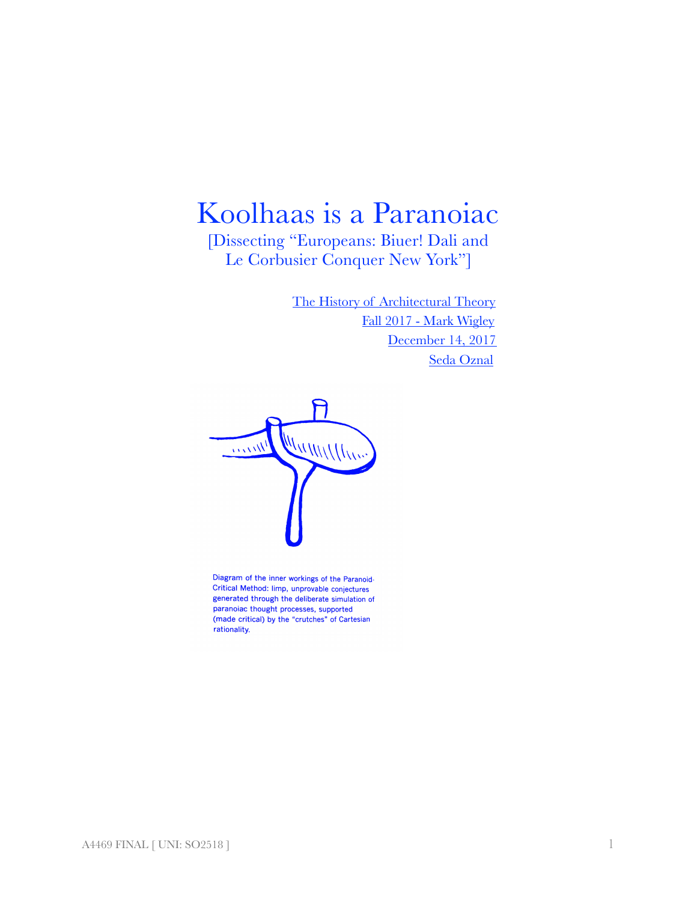## Koolhaas is a Paranoiac

[Dissecting "Europeans: Biuer! Dali and Le Corbusier Conquer New York"]

> The History of Architectural Theory Fall 2017 - Mark Wigley December 14, 2017 Seda Oznal



Diagram of the inner workings of the Paranoid-Critical Method: limp, unprovable conjectures generated through the deliberate simulation of paranoiac thought processes, supported (made critical) by the "crutches" of Cartesian rationality.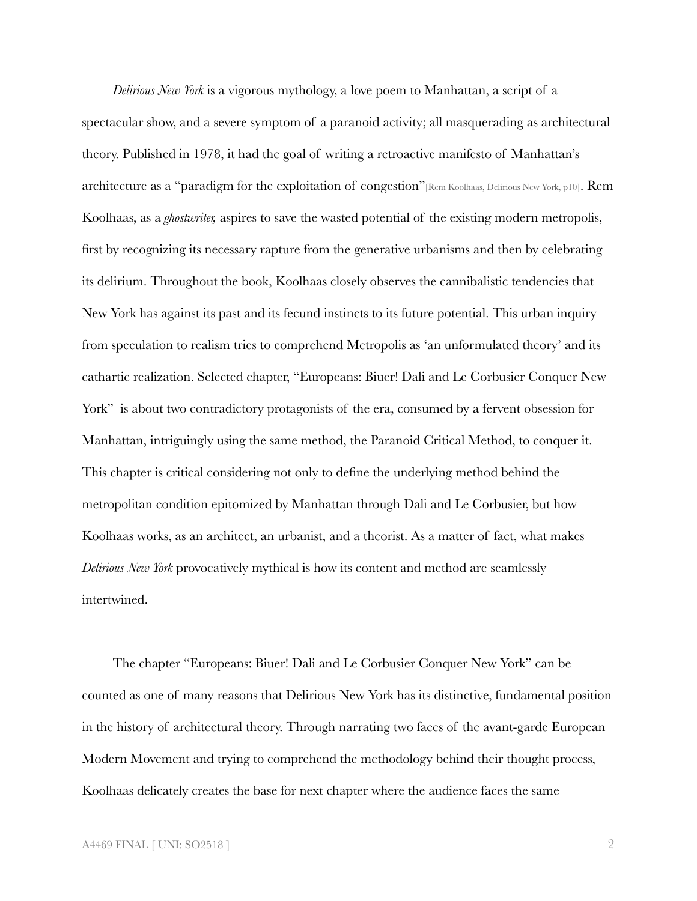*Delirious New York* is a vigorous mythology, a love poem to Manhattan, a script of a spectacular show, and a severe symptom of a paranoid activity; all masquerading as architectural theory. Published in 1978, it had the goal of writing a retroactive manifesto of Manhattan's architecture as a "paradigm for the exploitation of congestion"[Rem Koolhaas, Delirious New York, p10]. Rem Koolhaas, as a *ghostwriter,* aspires to save the wasted potential of the existing modern metropolis, first by recognizing its necessary rapture from the generative urbanisms and then by celebrating its delirium. Throughout the book, Koolhaas closely observes the cannibalistic tendencies that New York has against its past and its fecund instincts to its future potential. This urban inquiry from speculation to realism tries to comprehend Metropolis as 'an unformulated theory' and its cathartic realization. Selected chapter, "Europeans: Biuer! Dali and Le Corbusier Conquer New York" is about two contradictory protagonists of the era, consumed by a fervent obsession for Manhattan, intriguingly using the same method, the Paranoid Critical Method, to conquer it. This chapter is critical considering not only to define the underlying method behind the metropolitan condition epitomized by Manhattan through Dali and Le Corbusier, but how Koolhaas works, as an architect, an urbanist, and a theorist. As a matter of fact, what makes *Delirious New York* provocatively mythical is how its content and method are seamlessly intertwined.

The chapter "Europeans: Biuer! Dali and Le Corbusier Conquer New York" can be counted as one of many reasons that Delirious New York has its distinctive, fundamental position in the history of architectural theory. Through narrating two faces of the avant-garde European Modern Movement and trying to comprehend the methodology behind their thought process, Koolhaas delicately creates the base for next chapter where the audience faces the same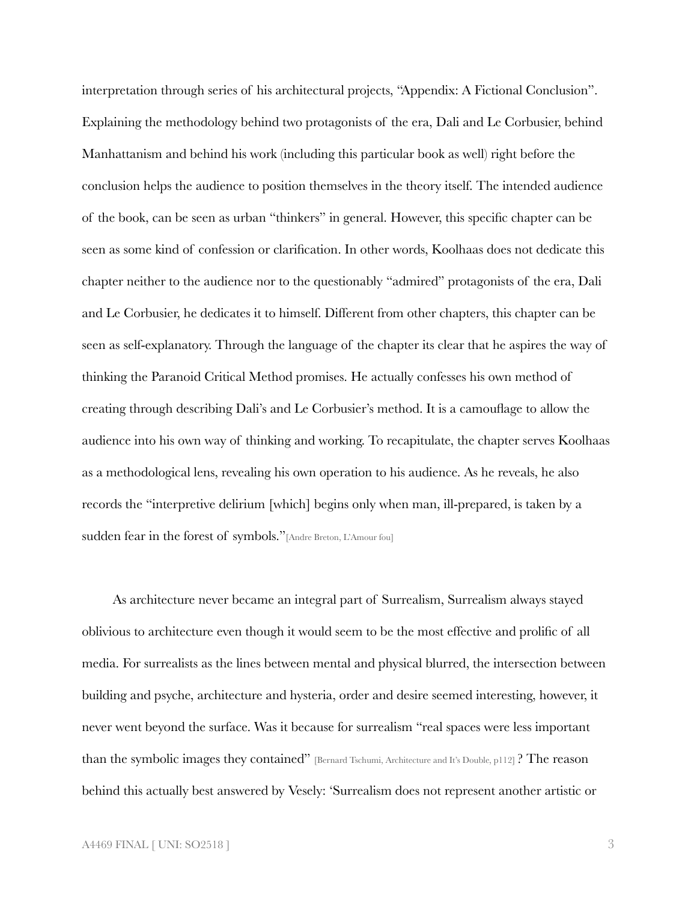interpretation through series of his architectural projects, "Appendix: A Fictional Conclusion". Explaining the methodology behind two protagonists of the era, Dali and Le Corbusier, behind Manhattanism and behind his work (including this particular book as well) right before the conclusion helps the audience to position themselves in the theory itself. The intended audience of the book, can be seen as urban "thinkers" in general. However, this specific chapter can be seen as some kind of confession or clarification. In other words, Koolhaas does not dedicate this chapter neither to the audience nor to the questionably "admired" protagonists of the era, Dali and Le Corbusier, he dedicates it to himself. Different from other chapters, this chapter can be seen as self-explanatory. Through the language of the chapter its clear that he aspires the way of thinking the Paranoid Critical Method promises. He actually confesses his own method of creating through describing Dali's and Le Corbusier's method. It is a camouflage to allow the audience into his own way of thinking and working. To recapitulate, the chapter serves Koolhaas as a methodological lens, revealing his own operation to his audience. As he reveals, he also records the "interpretive delirium [which] begins only when man, ill-prepared, is taken by a sudden fear in the forest of symbols." [Andre Breton, L'Amour fou]

As architecture never became an integral part of Surrealism, Surrealism always stayed oblivious to architecture even though it would seem to be the most effective and prolific of all media. For surrealists as the lines between mental and physical blurred, the intersection between building and psyche, architecture and hysteria, order and desire seemed interesting, however, it never went beyond the surface. Was it because for surrealism "real spaces were less important than the symbolic images they contained" [Bernard Tschumi, Architecture and It's Double, p112] ? The reason behind this actually best answered by Vesely: 'Surrealism does not represent another artistic or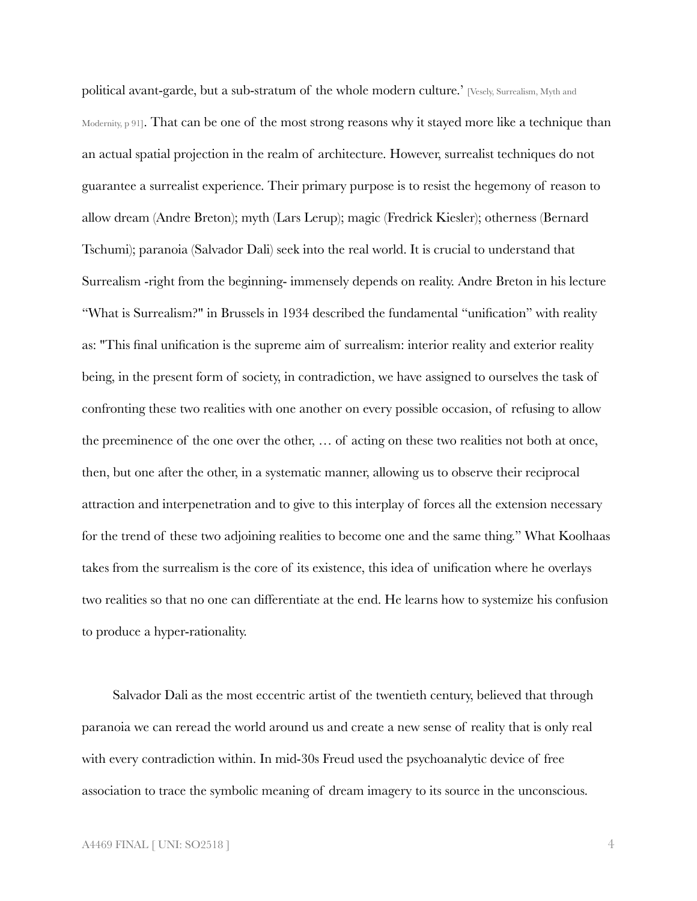political avant-garde, but a sub-stratum of the whole modern culture.' [Vesely, Surrealism, Myth and Modernity, p 91]. That can be one of the most strong reasons why it stayed more like a technique than an actual spatial projection in the realm of architecture. However, surrealist techniques do not guarantee a surrealist experience. Their primary purpose is to resist the hegemony of reason to allow dream (Andre Breton); myth (Lars Lerup); magic (Fredrick Kiesler); otherness (Bernard Tschumi); paranoia (Salvador Dali) seek into the real world. It is crucial to understand that Surrealism -right from the beginning- immensely depends on reality. Andre Breton in his lecture "What is Surrealism?" in Brussels in 1934 described the fundamental "unification" with reality as: "This final unification is the supreme aim of surrealism: interior reality and exterior reality being, in the present form of society, in contradiction, we have assigned to ourselves the task of confronting these two realities with one another on every possible occasion, of refusing to allow the preeminence of the one over the other, … of acting on these two realities not both at once, then, but one after the other, in a systematic manner, allowing us to observe their reciprocal attraction and interpenetration and to give to this interplay of forces all the extension necessary for the trend of these two adjoining realities to become one and the same thing." What Koolhaas takes from the surrealism is the core of its existence, this idea of unification where he overlays two realities so that no one can differentiate at the end. He learns how to systemize his confusion to produce a hyper-rationality.

Salvador Dali as the most eccentric artist of the twentieth century, believed that through paranoia we can reread the world around us and create a new sense of reality that is only real with every contradiction within. In mid-30s Freud used the psychoanalytic device of free association to trace the symbolic meaning of dream imagery to its source in the unconscious.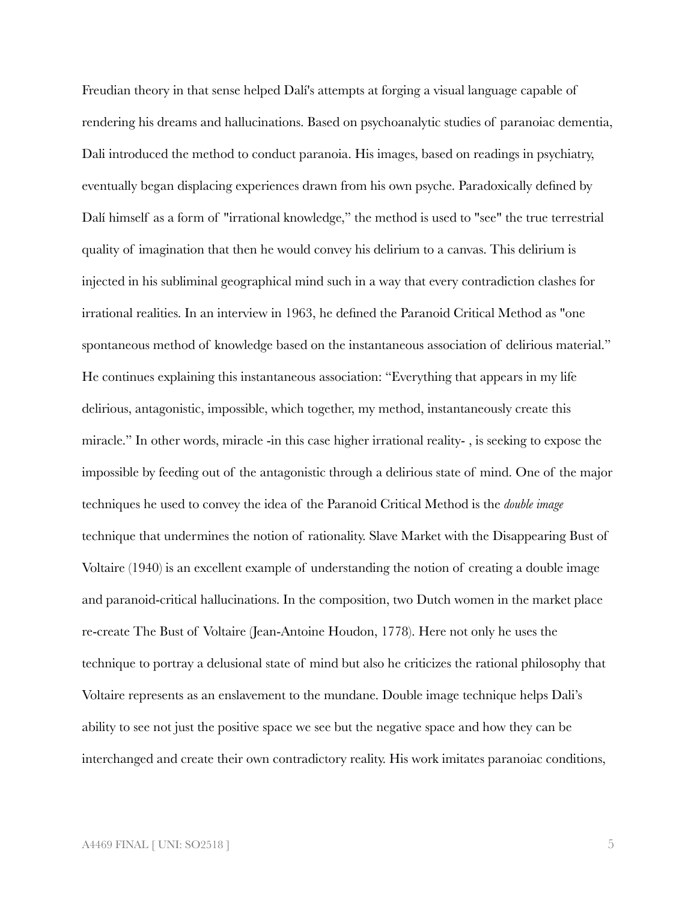Freudian theory in that sense helped Dalí's attempts at forging a visual language capable of rendering his dreams and hallucinations. Based on psychoanalytic studies of paranoiac dementia, Dali introduced the method to conduct paranoia. His images, based on readings in psychiatry, eventually began displacing experiences drawn from his own psyche. Paradoxically defined by Dalí himself as a form of "irrational knowledge," the method is used to "see" the true terrestrial quality of imagination that then he would convey his delirium to a canvas. This delirium is injected in his subliminal geographical mind such in a way that every contradiction clashes for irrational realities. In an interview in 1963, he defined the Paranoid Critical Method as "one spontaneous method of knowledge based on the instantaneous association of delirious material." He continues explaining this instantaneous association: "Everything that appears in my life delirious, antagonistic, impossible, which together, my method, instantaneously create this miracle." In other words, miracle -in this case higher irrational reality- , is seeking to expose the impossible by feeding out of the antagonistic through a delirious state of mind. One of the major techniques he used to convey the idea of the Paranoid Critical Method is the *double image* technique that undermines the notion of rationality. Slave Market with the Disappearing Bust of Voltaire (1940) is an excellent example of understanding the notion of creating a double image and paranoid-critical hallucinations. In the composition, two Dutch women in the market place re-create The Bust of Voltaire (Jean-Antoine Houdon, 1778). Here not only he uses the technique to portray a delusional state of mind but also he criticizes the rational philosophy that Voltaire represents as an enslavement to the mundane. Double image technique helps Dali's ability to see not just the positive space we see but the negative space and how they can be interchanged and create their own contradictory reality. His work imitates paranoiac conditions,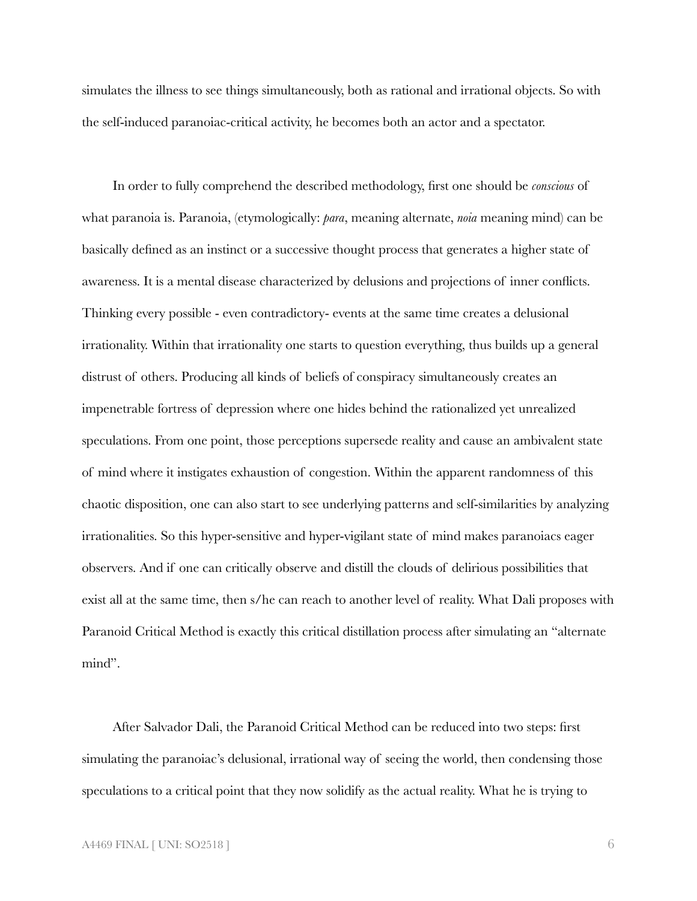simulates the illness to see things simultaneously, both as rational and irrational objects. So with the self-induced paranoiac-critical activity, he becomes both an actor and a spectator.

In order to fully comprehend the described methodology, first one should be *conscious* of what paranoia is. Paranoia, (etymologically: *para*, meaning alternate, *noia* meaning mind) can be basically defined as an instinct or a successive thought process that generates a higher state of awareness. It is a mental disease characterized by delusions and projections of inner conflicts. Thinking every possible - even contradictory- events at the same time creates a delusional irrationality. Within that irrationality one starts to question everything, thus builds up a general distrust of others. Producing all kinds of beliefs of conspiracy simultaneously creates an impenetrable fortress of depression where one hides behind the rationalized yet unrealized speculations. From one point, those perceptions supersede reality and cause an ambivalent state of mind where it instigates exhaustion of congestion. Within the apparent randomness of this chaotic disposition, one can also start to see underlying patterns and self-similarities by analyzing irrationalities. So this hyper-sensitive and hyper-vigilant state of mind makes paranoiacs eager observers. And if one can critically observe and distill the clouds of delirious possibilities that exist all at the same time, then s/he can reach to another level of reality. What Dali proposes with Paranoid Critical Method is exactly this critical distillation process after simulating an "alternate mind".

After Salvador Dali, the Paranoid Critical Method can be reduced into two steps: first simulating the paranoiac's delusional, irrational way of seeing the world, then condensing those speculations to a critical point that they now solidify as the actual reality. What he is trying to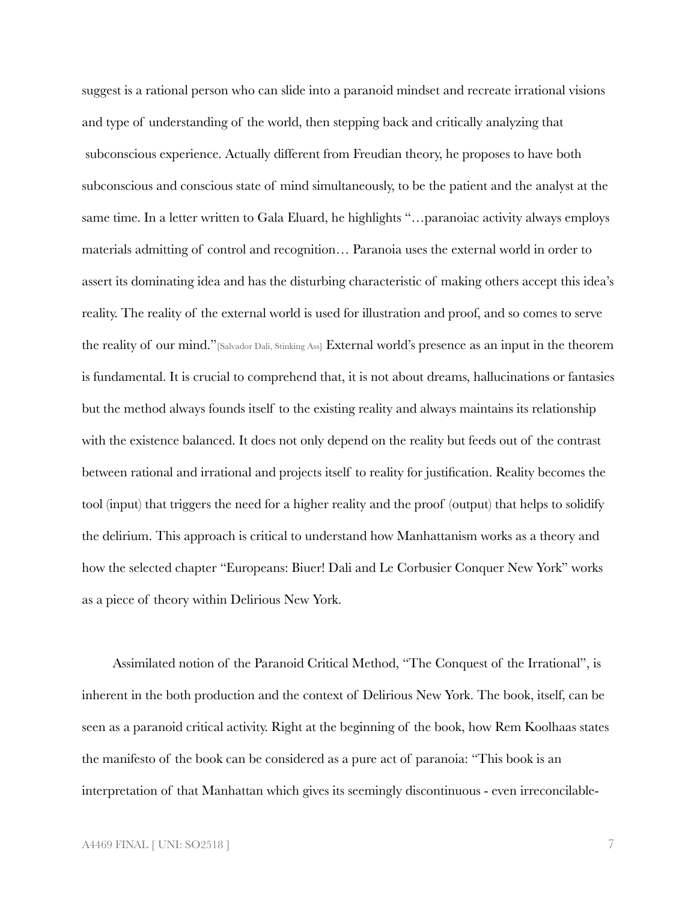suggest is a rational person who can slide into a paranoid mindset and recreate irrational visions and type of understanding of the world, then stepping back and critically analyzing that subconscious experience. Actually different from Freudian theory, he proposes to have both subconscious and conscious state of mind simultaneously, to be the patient and the analyst at the same time. In a letter written to Gala Eluard, he highlights "…paranoiac activity always employs materials admitting of control and recognition… Paranoia uses the external world in order to assert its dominating idea and has the disturbing characteristic of making others accept this idea's reality. The reality of the external world is used for illustration and proof, and so comes to serve the reality of our mind."[Salvador Dali, Stinking Ass] External world's presence as an input in the theorem is fundamental. It is crucial to comprehend that, it is not about dreams, hallucinations or fantasies but the method always founds itself to the existing reality and always maintains its relationship with the existence balanced. It does not only depend on the reality but feeds out of the contrast between rational and irrational and projects itself to reality for justification. Reality becomes the tool (input) that triggers the need for a higher reality and the proof (output) that helps to solidify the delirium. This approach is critical to understand how Manhattanism works as a theory and how the selected chapter "Europeans: Biuer! Dali and Le Corbusier Conquer New York" works as a piece of theory within Delirious New York.

Assimilated notion of the Paranoid Critical Method, "The Conquest of the Irrational", is inherent in the both production and the context of Delirious New York. The book, itself, can be seen as a paranoid critical activity. Right at the beginning of the book, how Rem Koolhaas states the manifesto of the book can be considered as a pure act of paranoia: "This book is an interpretation of that Manhattan which gives its seemingly discontinuous - even irreconcilable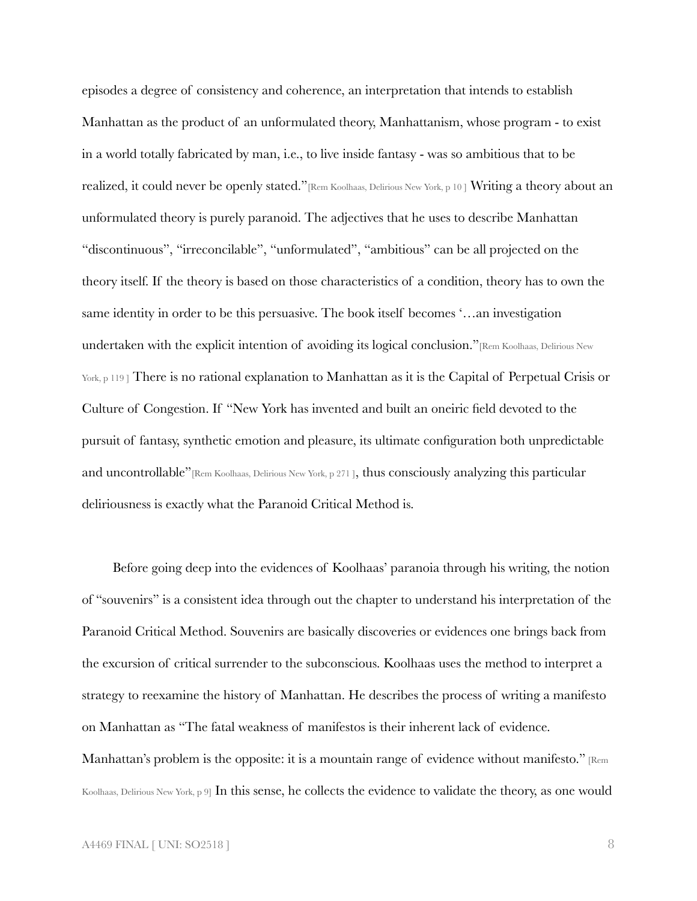episodes a degree of consistency and coherence, an interpretation that intends to establish Manhattan as the product of an unformulated theory, Manhattanism, whose program - to exist in a world totally fabricated by man, i.e., to live inside fantasy - was so ambitious that to be realized, it could never be openly stated."[Rem Koolhaas, Delirious New York, p 10 ] Writing a theory about an unformulated theory is purely paranoid. The adjectives that he uses to describe Manhattan "discontinuous", "irreconcilable", "unformulated", "ambitious" can be all projected on the theory itself. If the theory is based on those characteristics of a condition, theory has to own the same identity in order to be this persuasive. The book itself becomes '…an investigation undertaken with the explicit intention of avoiding its logical conclusion."[Rem Koolhaas, Delirious New York, p 119 ] There is no rational explanation to Manhattan as it is the Capital of Perpetual Crisis or Culture of Congestion. If "New York has invented and built an oneiric field devoted to the pursuit of fantasy, synthetic emotion and pleasure, its ultimate configuration both unpredictable and uncontrollable"<sup>[Rem Koolhaas, Delirious New York, p 271], thus consciously analyzing this particular</sup> deliriousness is exactly what the Paranoid Critical Method is.

Before going deep into the evidences of Koolhaas' paranoia through his writing, the notion of "souvenirs" is a consistent idea through out the chapter to understand his interpretation of the Paranoid Critical Method. Souvenirs are basically discoveries or evidences one brings back from the excursion of critical surrender to the subconscious. Koolhaas uses the method to interpret a strategy to reexamine the history of Manhattan. He describes the process of writing a manifesto on Manhattan as "The fatal weakness of manifestos is their inherent lack of evidence. Manhattan's problem is the opposite: it is a mountain range of evidence without manifesto." [Rem

Koolhaas, Delirious New York, p 9] In this sense, he collects the evidence to validate the theory, as one would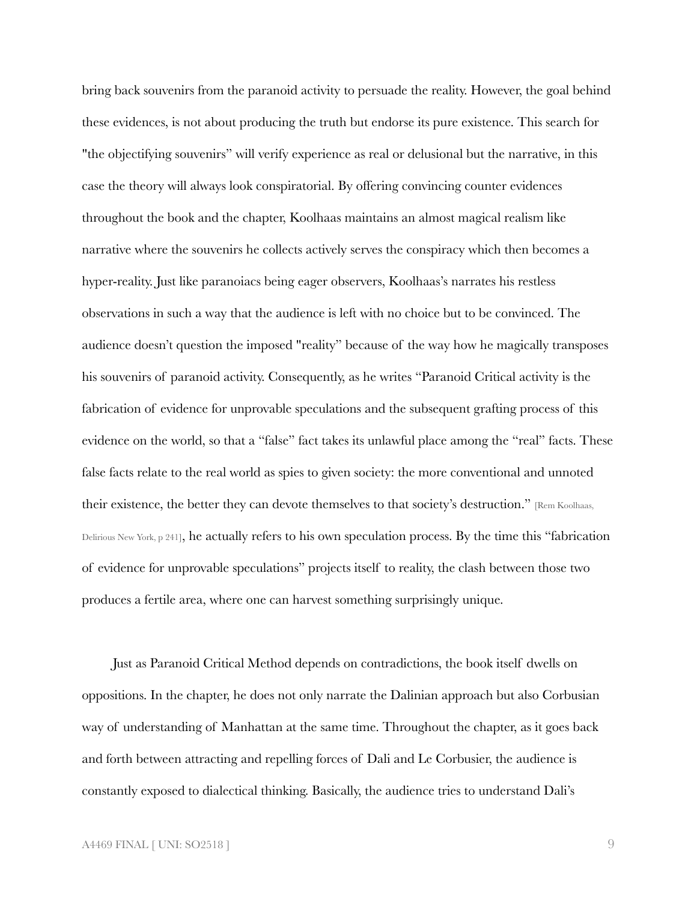bring back souvenirs from the paranoid activity to persuade the reality. However, the goal behind these evidences, is not about producing the truth but endorse its pure existence. This search for "the objectifying souvenirs" will verify experience as real or delusional but the narrative, in this case the theory will always look conspiratorial. By offering convincing counter evidences throughout the book and the chapter, Koolhaas maintains an almost magical realism like narrative where the souvenirs he collects actively serves the conspiracy which then becomes a hyper-reality. Just like paranoiacs being eager observers, Koolhaas's narrates his restless observations in such a way that the audience is left with no choice but to be convinced. The audience doesn't question the imposed "reality" because of the way how he magically transposes his souvenirs of paranoid activity. Consequently, as he writes "Paranoid Critical activity is the fabrication of evidence for unprovable speculations and the subsequent grafting process of this evidence on the world, so that a "false" fact takes its unlawful place among the "real" facts. These false facts relate to the real world as spies to given society: the more conventional and unnoted their existence, the better they can devote themselves to that society's destruction." [Rem Koolhaas, Delirious New York, p 241], he actually refers to his own speculation process. By the time this "fabrication of evidence for unprovable speculations" projects itself to reality, the clash between those two produces a fertile area, where one can harvest something surprisingly unique.

Just as Paranoid Critical Method depends on contradictions, the book itself dwells on oppositions. In the chapter, he does not only narrate the Dalinian approach but also Corbusian way of understanding of Manhattan at the same time. Throughout the chapter, as it goes back and forth between attracting and repelling forces of Dali and Le Corbusier, the audience is constantly exposed to dialectical thinking. Basically, the audience tries to understand Dali's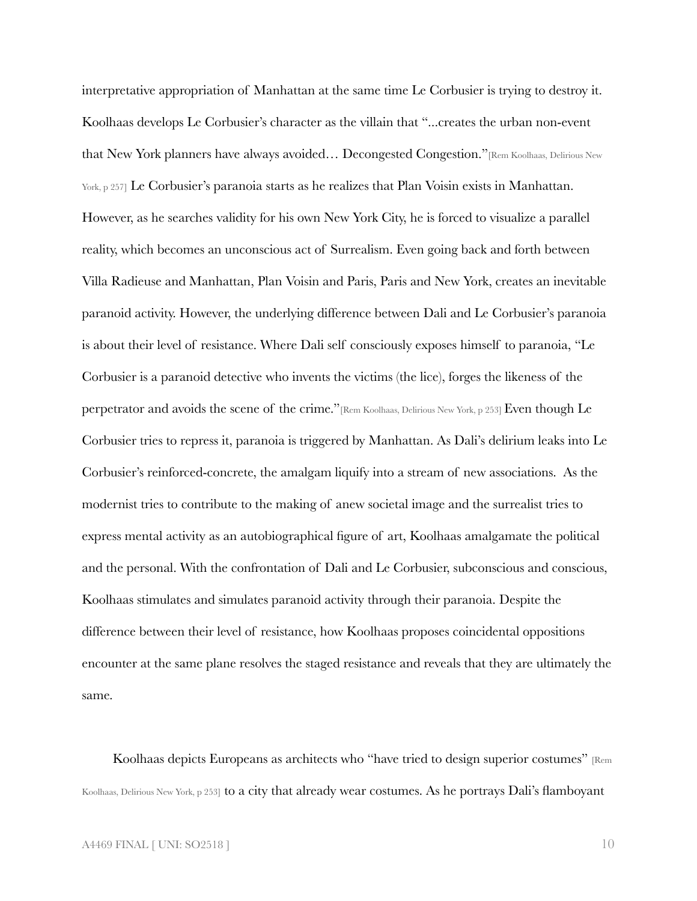interpretative appropriation of Manhattan at the same time Le Corbusier is trying to destroy it. Koolhaas develops Le Corbusier's character as the villain that "...creates the urban non-event that New York planners have always avoided… Decongested Congestion."[Rem Koolhaas, Delirious New York, p 257] Le Corbusier's paranoia starts as he realizes that Plan Voisin exists in Manhattan. However, as he searches validity for his own New York City, he is forced to visualize a parallel reality, which becomes an unconscious act of Surrealism. Even going back and forth between Villa Radieuse and Manhattan, Plan Voisin and Paris, Paris and New York, creates an inevitable paranoid activity. However, the underlying difference between Dali and Le Corbusier's paranoia is about their level of resistance. Where Dali self consciously exposes himself to paranoia, "Le Corbusier is a paranoid detective who invents the victims (the lice), forges the likeness of the perpetrator and avoids the scene of the crime."[Rem Koolhaas, Delirious New York, p 253] Even though Le Corbusier tries to repress it, paranoia is triggered by Manhattan. As Dali's delirium leaks into Le Corbusier's reinforced-concrete, the amalgam liquify into a stream of new associations. As the modernist tries to contribute to the making of anew societal image and the surrealist tries to express mental activity as an autobiographical figure of art, Koolhaas amalgamate the political and the personal. With the confrontation of Dali and Le Corbusier, subconscious and conscious, Koolhaas stimulates and simulates paranoid activity through their paranoia. Despite the difference between their level of resistance, how Koolhaas proposes coincidental oppositions encounter at the same plane resolves the staged resistance and reveals that they are ultimately the same.

Koolhaas depicts Europeans as architects who "have tried to design superior costumes" [Rem Koolhaas, Delirious New York, p 253] to a city that already wear costumes. As he portrays Dali's flamboyant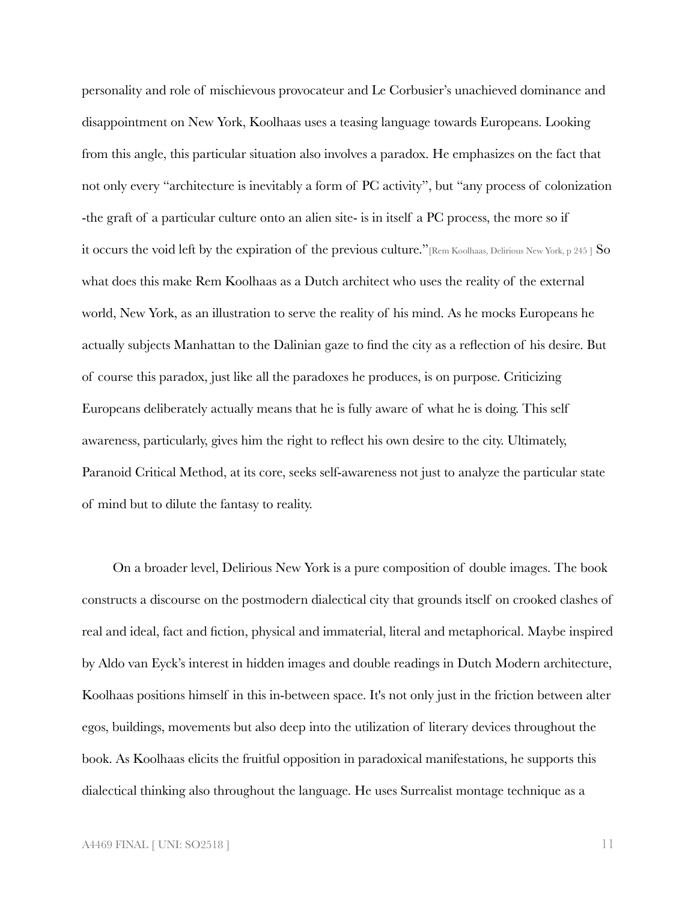personality and role of mischievous provocateur and Le Corbusier's unachieved dominance and disappointment on New York, Koolhaas uses a teasing language towards Europeans. Looking from this angle, this particular situation also involves a paradox. He emphasizes on the fact that not only every "architecture is inevitably a form of PC activity", but "any process of colonization -the graft of a particular culture onto an alien site- is in itself a PC process, the more so if it occurs the void left by the expiration of the previous culture."[Rem Koolhaas, Delirious New York, p 245 ] So what does this make Rem Koolhaas as a Dutch architect who uses the reality of the external world, New York, as an illustration to serve the reality of his mind. As he mocks Europeans he actually subjects Manhattan to the Dalinian gaze to find the city as a reflection of his desire. But of course this paradox, just like all the paradoxes he produces, is on purpose. Criticizing Europeans deliberately actually means that he is fully aware of what he is doing. This self awareness, particularly, gives him the right to reflect his own desire to the city. Ultimately, Paranoid Critical Method, at its core, seeks self-awareness not just to analyze the particular state of mind but to dilute the fantasy to reality.

On a broader level, Delirious New York is a pure composition of double images. The book constructs a discourse on the postmodern dialectical city that grounds itself on crooked clashes of real and ideal, fact and fiction, physical and immaterial, literal and metaphorical. Maybe inspired by Aldo van Eyck's interest in hidden images and double readings in Dutch Modern architecture, Koolhaas positions himself in this in-between space. It's not only just in the friction between alter egos, buildings, movements but also deep into the utilization of literary devices throughout the book. As Koolhaas elicits the fruitful opposition in paradoxical manifestations, he supports this dialectical thinking also throughout the language. He uses Surrealist montage technique as a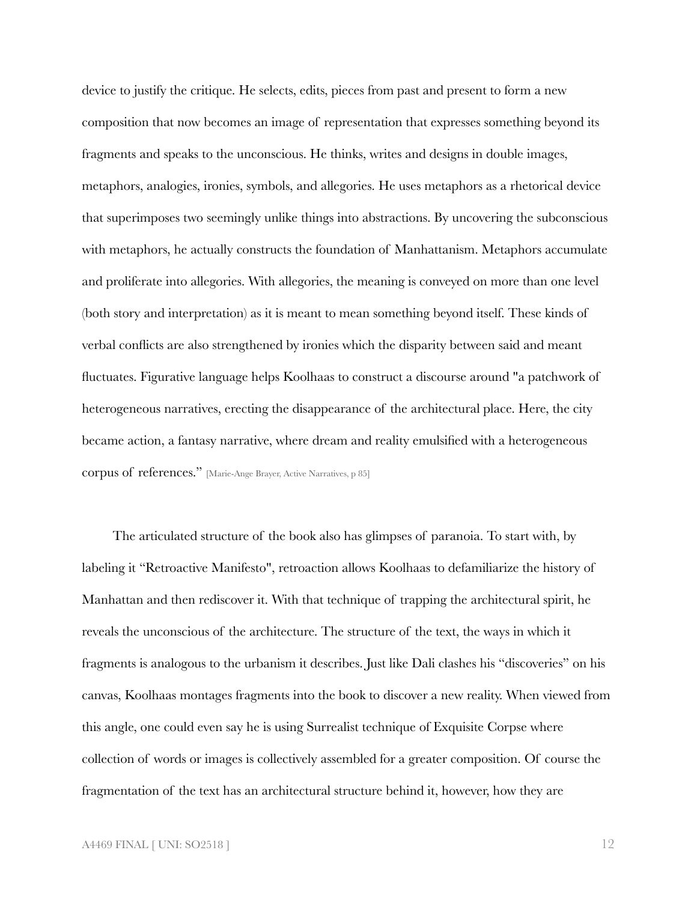device to justify the critique. He selects, edits, pieces from past and present to form a new composition that now becomes an image of representation that expresses something beyond its fragments and speaks to the unconscious. He thinks, writes and designs in double images, metaphors, analogies, ironies, symbols, and allegories. He uses metaphors as a rhetorical device that superimposes two seemingly unlike things into abstractions. By uncovering the subconscious with metaphors, he actually constructs the foundation of Manhattanism. Metaphors accumulate and proliferate into allegories. With allegories, the meaning is conveyed on more than one level (both story and interpretation) as it is meant to mean something beyond itself. These kinds of verbal conflicts are also strengthened by ironies which the disparity between said and meant fluctuates. Figurative language helps Koolhaas to construct a discourse around "a patchwork of heterogeneous narratives, erecting the disappearance of the architectural place. Here, the city became action, a fantasy narrative, where dream and reality emulsified with a heterogeneous corpus of references." [Marie-Ange Brayer, Active Narratives, p 85]

The articulated structure of the book also has glimpses of paranoia. To start with, by labeling it "Retroactive Manifesto", retroaction allows Koolhaas to defamiliarize the history of Manhattan and then rediscover it. With that technique of trapping the architectural spirit, he reveals the unconscious of the architecture. The structure of the text, the ways in which it fragments is analogous to the urbanism it describes. Just like Dali clashes his "discoveries" on his canvas, Koolhaas montages fragments into the book to discover a new reality. When viewed from this angle, one could even say he is using Surrealist technique of Exquisite Corpse where collection of words or images is collectively assembled for a greater composition. Of course the fragmentation of the text has an architectural structure behind it, however, how they are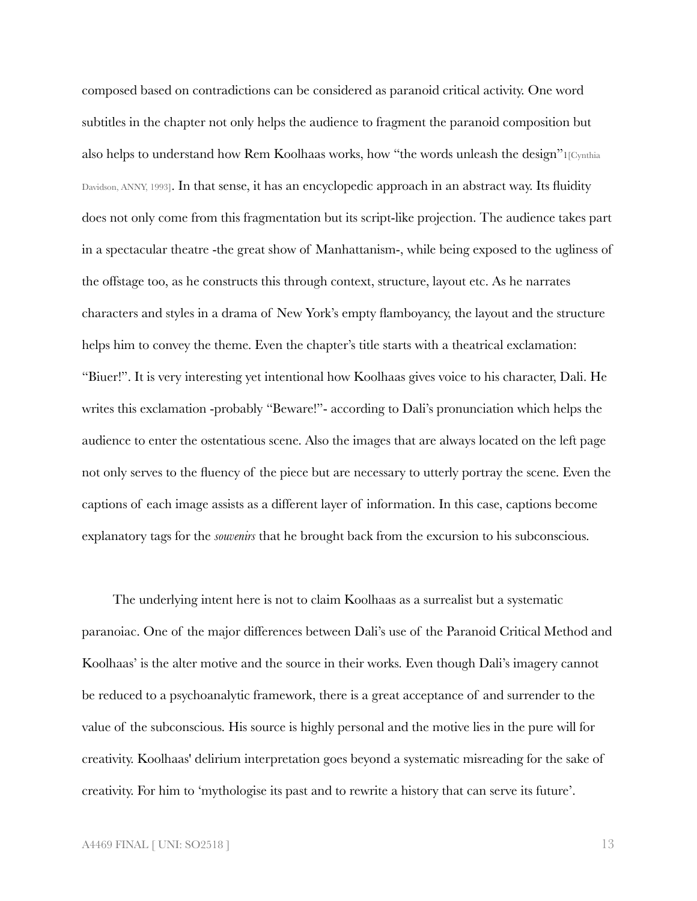composed based on contradictions can be considered as paranoid critical activity. One word subtitles in the chapter not only helps the audience to fragment the paranoid composition but also helps to understand how Rem Koolhaas works, how "the words unleash the design"1[Cynthia Davidson, ANNY, 1993]. In that sense, it has an encyclopedic approach in an abstract way. Its fluidity does not only come from this fragmentation but its script-like projection. The audience takes part in a spectacular theatre -the great show of Manhattanism-, while being exposed to the ugliness of the offstage too, as he constructs this through context, structure, layout etc. As he narrates characters and styles in a drama of New York's empty flamboyancy, the layout and the structure helps him to convey the theme. Even the chapter's title starts with a theatrical exclamation: "Biuer!". It is very interesting yet intentional how Koolhaas gives voice to his character, Dali. He writes this exclamation -probably "Beware!"- according to Dali's pronunciation which helps the audience to enter the ostentatious scene. Also the images that are always located on the left page not only serves to the fluency of the piece but are necessary to utterly portray the scene. Even the captions of each image assists as a different layer of information. In this case, captions become explanatory tags for the *souvenirs* that he brought back from the excursion to his subconscious.

The underlying intent here is not to claim Koolhaas as a surrealist but a systematic paranoiac. One of the major differences between Dali's use of the Paranoid Critical Method and Koolhaas' is the alter motive and the source in their works. Even though Dali's imagery cannot be reduced to a psychoanalytic framework, there is a great acceptance of and surrender to the value of the subconscious. His source is highly personal and the motive lies in the pure will for creativity. Koolhaas' delirium interpretation goes beyond a systematic misreading for the sake of creativity. For him to 'mythologise its past and to rewrite a history that can serve its future'.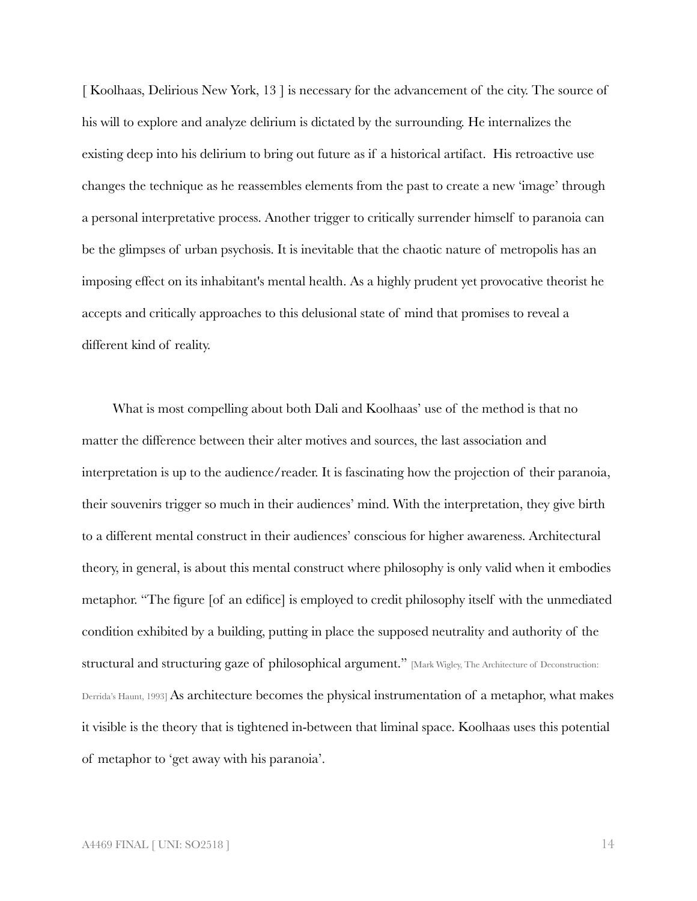[ Koolhaas, Delirious New York, 13 ] is necessary for the advancement of the city. The source of his will to explore and analyze delirium is dictated by the surrounding. He internalizes the existing deep into his delirium to bring out future as if a historical artifact. His retroactive use changes the technique as he reassembles elements from the past to create a new 'image' through a personal interpretative process. Another trigger to critically surrender himself to paranoia can be the glimpses of urban psychosis. It is inevitable that the chaotic nature of metropolis has an imposing effect on its inhabitant's mental health. As a highly prudent yet provocative theorist he accepts and critically approaches to this delusional state of mind that promises to reveal a different kind of reality.

What is most compelling about both Dali and Koolhaas' use of the method is that no matter the difference between their alter motives and sources, the last association and interpretation is up to the audience/reader. It is fascinating how the projection of their paranoia, their souvenirs trigger so much in their audiences' mind. With the interpretation, they give birth to a different mental construct in their audiences' conscious for higher awareness. Architectural theory, in general, is about this mental construct where philosophy is only valid when it embodies metaphor. "The figure [of an edifice] is employed to credit philosophy itself with the unmediated condition exhibited by a building, putting in place the supposed neutrality and authority of the structural and structuring gaze of philosophical argument." [Mark Wigley, The Architecture of Deconstruction: Derrida's Haunt, 1993] As architecture becomes the physical instrumentation of a metaphor, what makes it visible is the theory that is tightened in-between that liminal space. Koolhaas uses this potential of metaphor to 'get away with his paranoia'.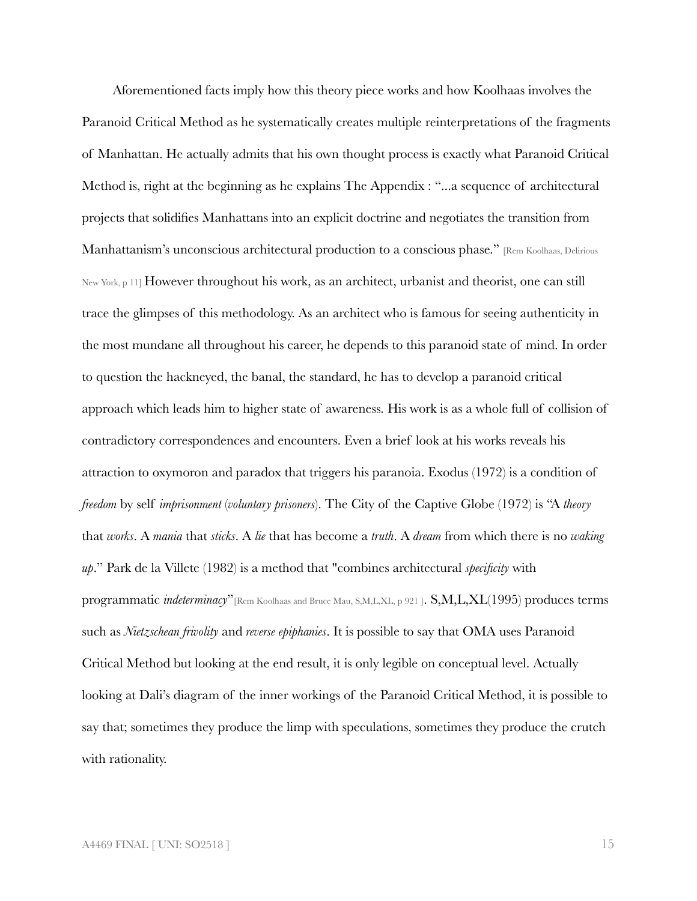Aforementioned facts imply how this theory piece works and how Koolhaas involves the Paranoid Critical Method as he systematically creates multiple reinterpretations of the fragments of Manhattan. He actually admits that his own thought process is exactly what Paranoid Critical Method is, right at the beginning as he explains The Appendix : "...a sequence of architectural projects that solidifies Manhattans into an explicit doctrine and negotiates the transition from Manhattanism's unconscious architectural production to a conscious phase." [Rem Koolhaas, Delirious New York, p 11] However throughout his work, as an architect, urbanist and theorist, one can still trace the glimpses of this methodology. As an architect who is famous for seeing authenticity in the most mundane all throughout his career, he depends to this paranoid state of mind. In order to question the hackneyed, the banal, the standard, he has to develop a paranoid critical approach which leads him to higher state of awareness. His work is as a whole full of collision of contradictory correspondences and encounters. Even a brief look at his works reveals his attraction to oxymoron and paradox that triggers his paranoia. Exodus (1972) is a condition of *freedom* by self *imprisonment* (*voluntary prisoners*). The City of the Captive Globe (1972) is "A *theory* that *works*. A *mania* that *sticks*. A *lie* that has become a *truth*. A *dream* from which there is no *waking up*." Park de la Villete (1982) is a method that "combines architectural *specificity* with programmatic *indeterminacy*"[Rem Koolhaas and Bruce Mau, S,M,L,XL, p 921 ]. S,M,L,XL(1995) produces terms such as *Nietzschean frivolity* and *reverse epiphanies*. It is possible to say that OMA uses Paranoid Critical Method but looking at the end result, it is only legible on conceptual level. Actually looking at Dali's diagram of the inner workings of the Paranoid Critical Method, it is possible to say that; sometimes they produce the limp with speculations, sometimes they produce the crutch with rationality.